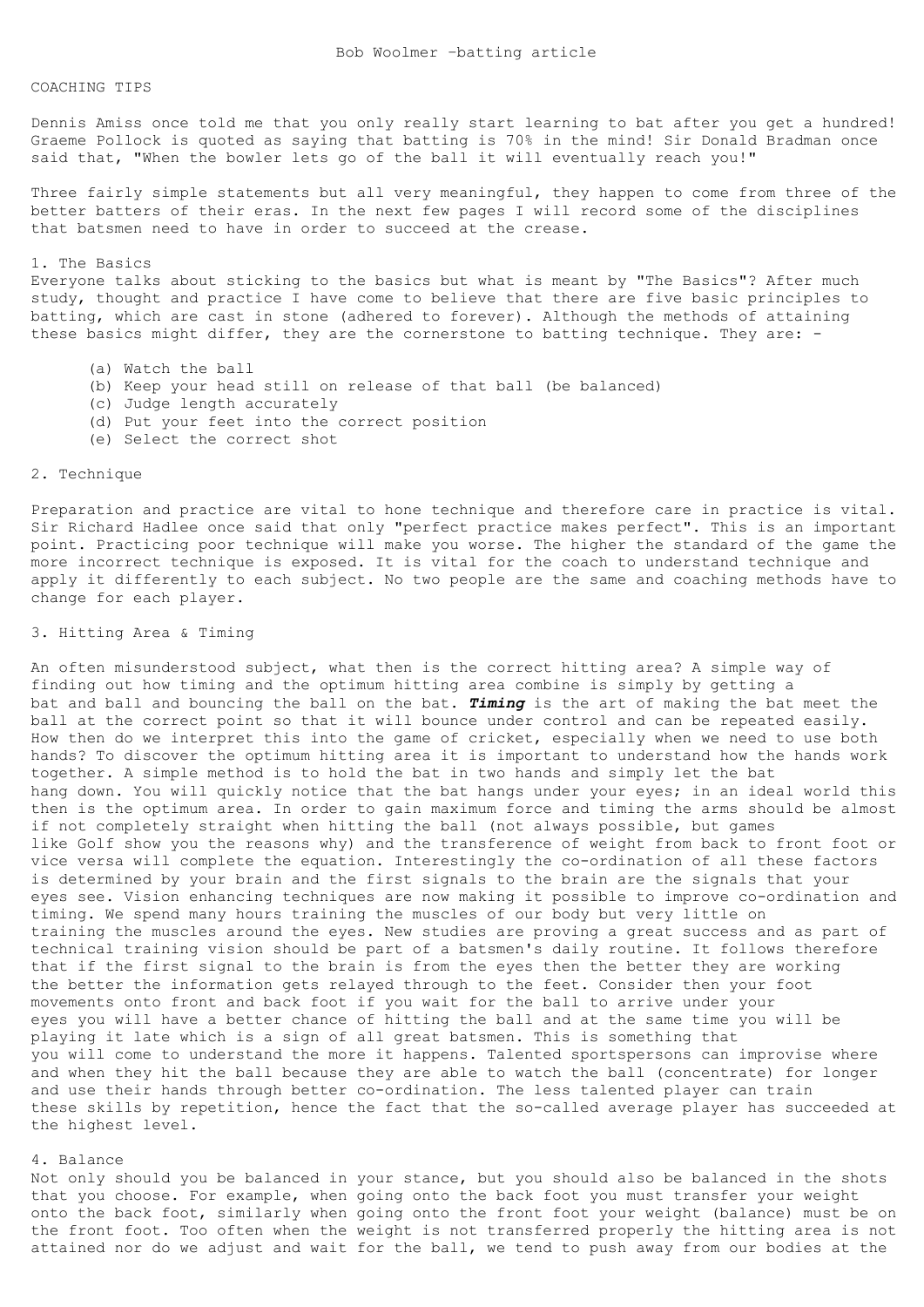#### COACHING TIPS

Dennis Amiss once told me that you only really start learning to bat after you get a hundred! Graeme Pollock is quoted as saying that batting is 70% in the mind! Sir Donald Bradman once said that, "When the bowler lets go of the ball it will eventually reach you!"

Three fairly simple statements but all very meaningful, they happen to come from three of the better batters of their eras. In the next few pages I will record some of the disciplines that batsmen need to have in order to succeed at the crease.

#### 1. The Basics

Everyone talks about sticking to the basics but what is meant by "The Basics"? After much study, thought and practice I have come to believe that there are five basic principles to batting, which are cast in stone (adhered to forever). Although the methods of attaining these basics might differ, they are the cornerstone to batting technique. They are: -

- (a) Watch the ball
- (b) Keep your head still on release of that ball (be balanced)
- (c) Judge length accurately
- (d) Put your feet into the correct position
- (e) Select the correct shot

## 2. Technique

Preparation and practice are vital to hone technique and therefore care in practice is vital. Sir Richard Hadlee once said that only "perfect practice makes perfect". This is an important point. Practicing poor technique will make you worse. The higher the standard of the game the more incorrect technique is exposed. It is vital for the coach to understand technique and apply it differently to each subject. No two people are the same and coaching methods have to change for each player.

### 3. Hitting Area & Timing

An often misunderstood subject, what then is the correct hitting area? A simple way of finding out how timing and the optimum hitting area combine is simply by getting a bat and ball and bouncing the ball on the bat. *Timing* is the art of making the bat meet the ball at the correct point so that it will bounce under control and can be repeated easily. How then do we interpret this into the game of cricket, especially when we need to use both hands? To discover the optimum hitting area it is important to understand how the hands work together. A simple method is to hold the bat in two hands and simply let the bat hang down. You will quickly notice that the bat hangs under your eyes; in an ideal world this then is the optimum area. In order to gain maximum force and timing the arms should be almost if not completely straight when hitting the ball (not always possible, but games like Golf show you the reasons why) and the transference of weight from back to front foot or vice versa will complete the equation. Interestingly the co-ordination of all these factors is determined by your brain and the first signals to the brain are the signals that your eyes see. Vision enhancing techniques are now making it possible to improve co-ordination and timing. We spend many hours training the muscles of our body but very little on training the muscles around the eyes. New studies are proving a great success and as part of technical training vision should be part of a batsmen's daily routine. It follows therefore that if the first signal to the brain is from the eyes then the better they are working the better the information gets relayed through to the feet. Consider then your foot movements onto front and back foot if you wait for the ball to arrive under your eyes you will have a better chance of hitting the ball and at the same time you will be playing it late which is a sign of all great batsmen. This is something that you will come to understand the more it happens. Talented sportspersons can improvise where and when they hit the ball because they are able to watch the ball (concentrate) for longer and use their hands through better co-ordination. The less talented player can train these skills by repetition, hence the fact that the so-called average player has succeeded at the highest level.

### 4. Balance

Not only should you be balanced in your stance, but you should also be balanced in the shots that you choose. For example, when going onto the back foot you must transfer your weight onto the back foot, similarly when going onto the front foot your weight (balance) must be on the front foot. Too often when the weight is not transferred properly the hitting area is not attained nor do we adjust and wait for the ball, we tend to push away from our bodies at the